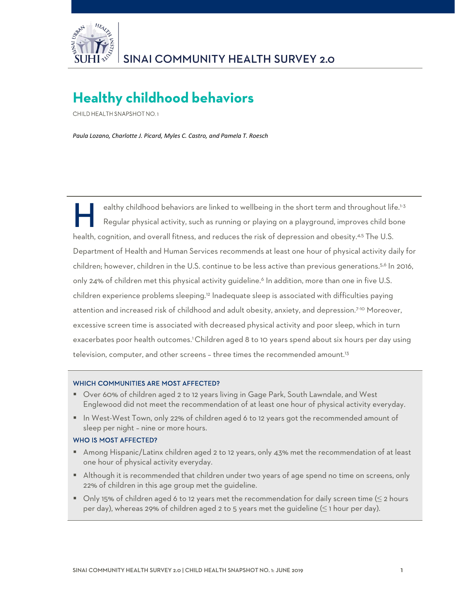

# **Healthy childhood behaviors**

CHILD HEALTH SNAPSHOT NO. 1

*Paula Lozano, Charlotte J. Picard, Myles C. Castro, and Pamela T. Roesch*

ealthy childhood behaviors are linked to wellbeing in the short term and throughout life.<sup>1-3</sup> Regular physical activity, such as running or playing on a playground, improves child bone health, cognition, and overall fitness, and reduces the risk of depression and obesity.<sup>4,5</sup> The U.S. Department of Health and Human Services recommends at least one hour of physical activity daily for children; however, children in the U.S. continue to be less active than previous generations.<sup>5,6</sup> In 2016, only 24% of children met this physical activity guideline.<sup>6</sup> In addition, more than one in five U.S. children experience problems sleeping.12 Inadequate sleep is associated with difficulties paying attention and increased risk of childhood and adult obesity, anxiety, and depression.7-10 Moreover, excessive screen time is associated with decreased physical activity and poor sleep, which in turn exacerbates poor health outcomes.<sup>1</sup> Children aged 8 to 10 years spend about six hours per day using television, computer, and other screens - three times the recommended amount.<sup>13</sup> H

#### WHICH COMMUNITIES ARE MOST AFFECTED?

- Over 60% of children aged 2 to 12 years living in Gage Park, South Lawndale, and West Englewood did not meet the recommendation of at least one hour of physical activity everyday.
- In West-West Town, only 22% of children aged 6 to 12 years got the recommended amount of sleep per night – nine or more hours.

#### WHO IS MOST AFFECTED?

- **Among Hispanic/Latinx children aged 2 to 12 years, only 43% met the recommendation of at least** one hour of physical activity everyday.
- Although it is recommended that children under two years of age spend no time on screens, only 22% of children in this age group met the guideline.
- Only 15% of children aged 6 to 12 years met the recommendation for daily screen time ( $\leq$  2 hours per day), whereas 29% of children aged 2 to 5 years met the guideline  $(\leq 1$  hour per day).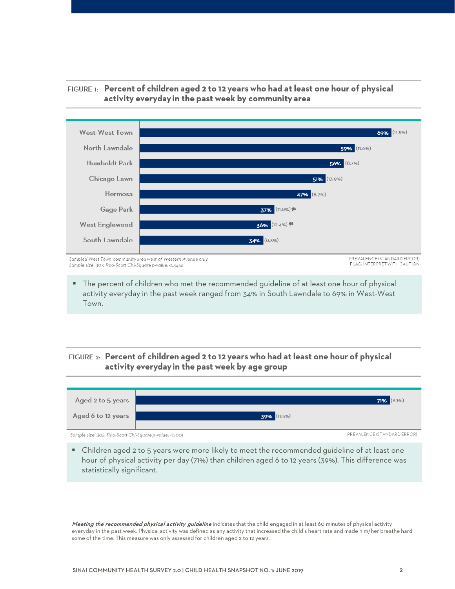

## FIGURE 1: Percent of children aged 2 to 12 years who had at least one hour of physical activity everyday in the past week by community area

#### The percent of children who met the recommended guideline of at least one hour of physical activity everyday in the past week ranged from 34% in South Lawndale to 69% in West-West Town.

# FIGURE 2: Percent of children aged 2 to 12 years who had at least one hour of physical activity everyday in the past week by age group



 Children aged 2 to 5 years were more likely to meet the recommended guideline of at least one hour of physical activity per day (71%) than children aged 6 to 12 years (39%). This difference was statistically significant.

Meeting the recommended physical activity guideline indicates that the child engaged in at least 60 minutes of physical activity everyday in the past week. Physical activity was defined as any activity that increased the child's heart rate and made him/her breathe hard some of the time. This measure was only assessed for children aged 2 to 12 years.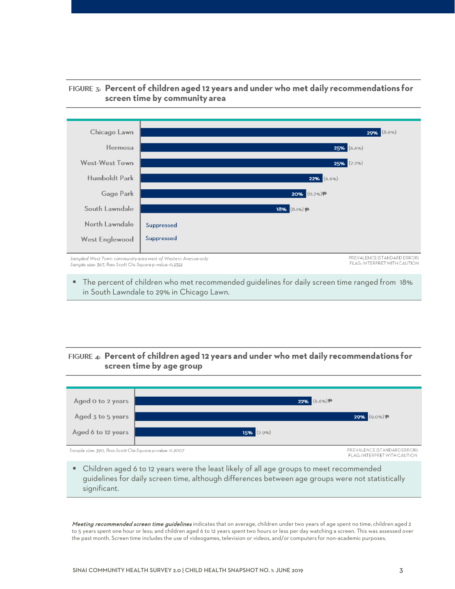

# FIGURE 3: Percent of children aged 12 years and under who met daily recommendations for screen time by community area

 The percent of children who met recommended guidelines for daily screen time ranged from 18% in South Lawndale to 29% in Chicago Lawn.

# FIGURE 4: Percent of children aged 12 years and under who met daily recommendations for screen time by age group



 Children aged 6 to 12 years were the least likely of all age groups to meet recommended guidelines for daily screen time, although differences between age groups were not statistically significant.

Meeting recommended screen time guidelines indicates that on average, children under two years of age spent no time; children aged 2 to 5 years spent one hour or less; and children aged 6 to 12 years spent two hours or less per day watching a screen. This was assessed over the past month. Screen time includes the use of videogames, television or videos, and/or computers for non-academic purposes.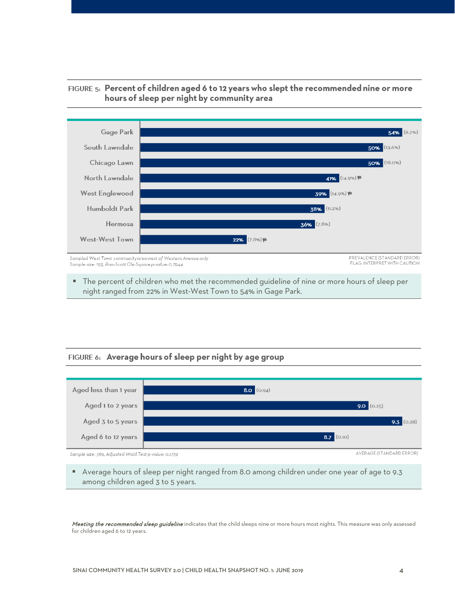

## FIGURE 5: Percent of children aged 6 to 12 years who slept the recommended nine or more hours of sleep per night by community area

 The percent of children who met the recommended guideline of nine or more hours of sleep per night ranged from 22% in West-West Town to 54% in Gage Park.

## FIGURE 6: Average hours of sleep per night by age group



 Average hours of sleep per night ranged from 8.0 among children under one year of age to 9.3 among children aged 3 to 5 years.

Meeting the recommended sleep guideline indicates that the child sleeps nine or more hours most nights. This measure was only assessed for children aged 6 to 12 years.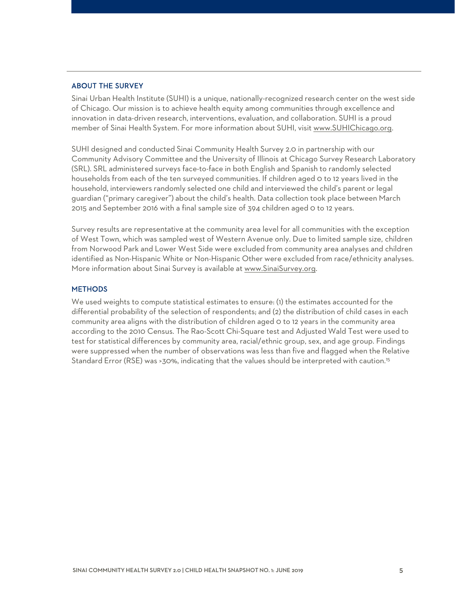#### ABOUT THE SURVEY

Sinai Urban Health Institute (SUHI) is a unique, nationally-recognized research center on the west side of Chicago. Our mission is to achieve health equity among communities through excellence and innovation in data-driven research, interventions, evaluation, and collaboration. SUHI is a proud member of Sinai Health System. For more information about SUHI, visit [www.SUHIChicago.org.](http://www.suhichicago.org/)

SUHI designed and conducted Sinai Community Health Survey 2.0 in partnership with our Community Advisory Committee and the University of Illinois at Chicago Survey Research Laboratory (SRL). SRL administered surveys face-to-face in both English and Spanish to randomly selected households from each of the ten surveyed communities. If children aged 0 to 12 years lived in the household, interviewers randomly selected one child and interviewed the child's parent or legal guardian ("primary caregiver") about the child's health. Data collection took place between March 2015 and September 2016 with a final sample size of 394 children aged 0 to 12 years.

Survey results are representative at the community area level for all communities with the exception of West Town, which was sampled west of Western Avenue only. Due to limited sample size, children from Norwood Park [and Lower West Side](http://www.sinaisurvey.org/) were excluded from community area analyses and children identified as Non-Hispanic White or Non-Hispanic Other were excluded from race/ethnicity analyses. More information about Sinai Survey is available at www.SinaiSurvey.org.

#### **METHODS**

We used weights to compute statistical estimates to ensure: (1) the estimates accounted for the differential probability of the selection of respondents; and (2) the distribution of child cases in each community area aligns with the distribution of children aged 0 to 12 years in the community area according to the 2010 Census. The Rao-Scott Chi-Square test and Adjusted Wald Test were used to test for statistical differences by community area, racial/ethnic group, sex, and age group. Findings were suppressed when the number of observations was less than five and flagged when the Relative Standard Error (RSE) was >30%, indicating that the values should be interpreted with caution.<sup>15</sup>